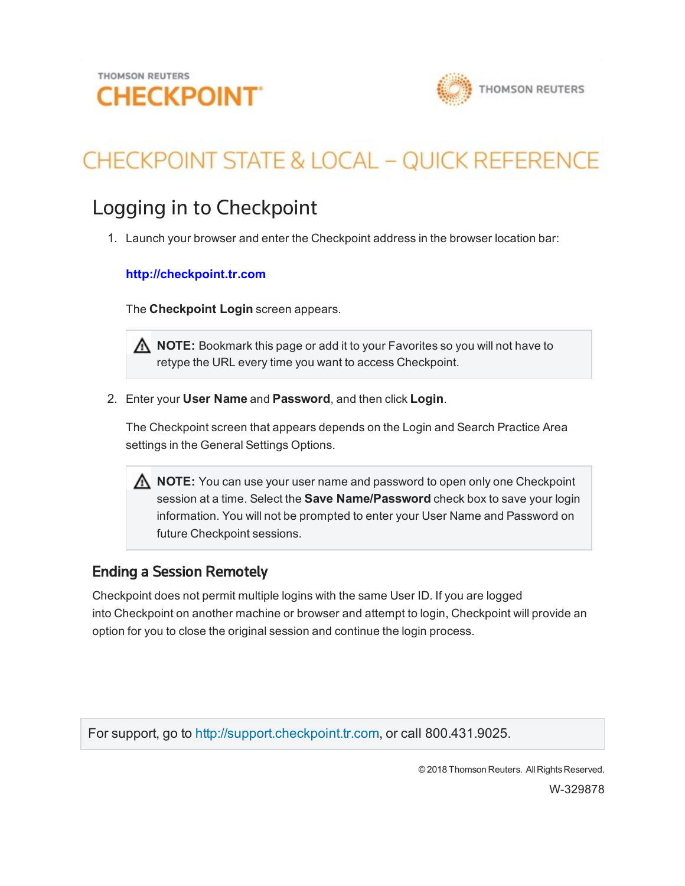

# **CHECKPOINT STATE & LOCAL - QUICK REFERENCE**

## Logging in to Checkpoint

1. Launch your browser and enter the Checkpoint address in the browser location bar:

#### **http://checkpoint.tr.com**

The **Checkpoint Login** screen appears.

**NOTE:** Bookmark this page or add it to your Favorites so you will not have to retype the URL every time you want to access Checkpoint.

2. Enter your **User Name** and **Password**, and then click **Login**.

The Checkpoint screen that appears depends on the Login and Search Practice Area settings in the General Settings Options.

**NOTE:** You can use your user name and password to open only one Checkpoint session at a time. Select the **Save Name/Password** check box to save your login information. You will not be prompted to enter your User Name and Password on future Checkpoint sessions.

### Ending a Session Remotely

Checkpoint does not permit multiple logins with the same User ID. If you are logged into Checkpoint on another machine or browser and attempt to login, Checkpoint will provide an option for you to close the original session and continue the login process.

For support, go to [http://support.checkpoint.tr.com](http://support.checkpoint.thomsonreuters.com/), or call 800.431.9025.

© 2018 Thomson Reuters. All Rights Reserved.

W-329878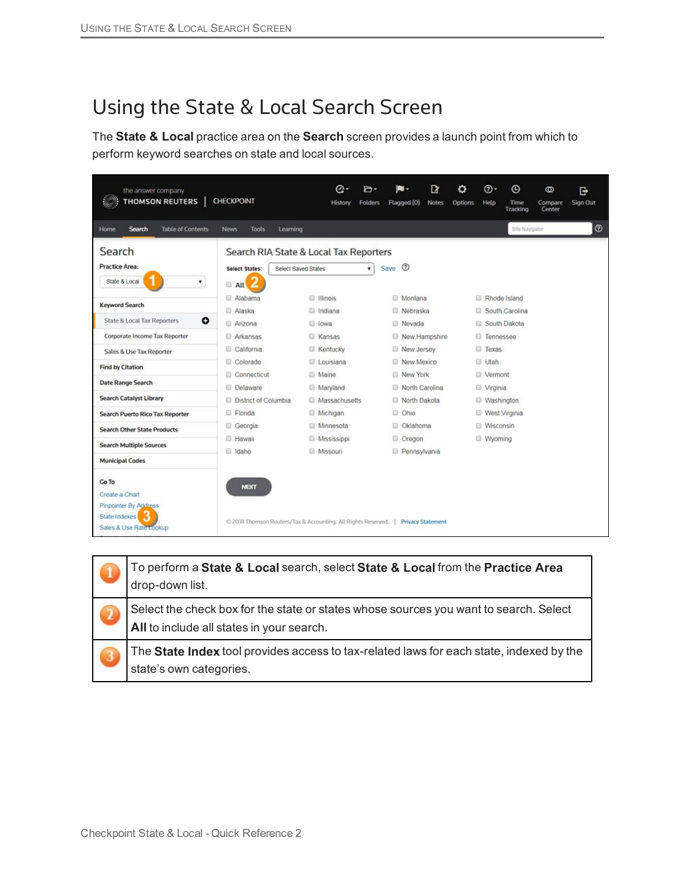## Using the State & Local Search Screen

The **State & Local** practice area on the **Search** screen provides a launch point from which to perform keyword searches on state and local sources.

| <b>THOMSON REUTERS</b>                                                   | <b>CHECKPOINT</b>                                             |                     | Θ۰<br>History             | P۰<br><b>Folders</b> |      | в.<br>Flagged (0)              | D<br><b>Notes</b> | o<br>Options | ര-<br>Help                      | $\odot$<br>Time<br>Tracking | $^{\circ}$<br>Compare<br>Center | G<br>Sign Out  |
|--------------------------------------------------------------------------|---------------------------------------------------------------|---------------------|---------------------------|----------------------|------|--------------------------------|-------------------|--------------|---------------------------------|-----------------------------|---------------------------------|----------------|
| Search<br><b>Table of Contents</b><br>Home                               | <b>News</b><br>Tools                                          | Learning            |                           |                      |      |                                |                   |              |                                 | Site Navigator              |                                 | $\circledcirc$ |
| Search                                                                   | Search RIA State & Local Tax Reporters                        |                     |                           |                      |      |                                |                   |              |                                 |                             |                                 |                |
| Practice Area:                                                           | Select States:                                                | Select Saved States |                           | ۳                    | Save | $\circ$                        |                   |              |                                 |                             |                                 |                |
| State & Local<br>۰                                                       | AII                                                           |                     |                           |                      |      |                                |                   |              |                                 |                             |                                 |                |
| <b>Keyword Search</b>                                                    | Alabama                                                       |                     | <b>Illinois</b>           |                      |      | <b>Montana</b>                 |                   |              |                                 | Rhode Island                |                                 |                |
|                                                                          | Alaska                                                        |                     | lndiana                   |                      |      | Nebraska                       |                   |              |                                 | South Carolina              |                                 |                |
| $\bullet$<br>State & Local Tax Reporters                                 | Arizona                                                       | 8                   | lowa                      |                      |      | Nevada                         |                   |              |                                 | South Dakota                |                                 |                |
| Corporate Income Tax Reporter                                            | Arkansas                                                      |                     | <b>E</b> Kansas           |                      |      |                                | New Hampshire     |              | <b>Tennessee</b>                |                             |                                 |                |
| Sales & Use Tax Reporter                                                 | California<br>81                                              |                     | <b>Kentucky</b>           |                      |      | New Jersey                     |                   |              | <b>E</b> Texas                  |                             |                                 |                |
| <b>Find by Citation</b>                                                  | Colorado                                                      |                     | <b>Louisiana</b>          |                      |      | New Mexico                     |                   |              | <b>Utah</b>                     |                             |                                 |                |
| Date Range Search                                                        | Connecticut<br>⊟                                              |                     | <b>Maine</b>              |                      |      | New York                       |                   |              | <b>B</b> Vermont                |                             |                                 |                |
| <b>Search Catalyst Library</b>                                           | Delaware<br>District of Columbia<br>e                         |                     | Maryland<br>Massachusetts |                      |      | North Carolina<br>North Dakota |                   |              | <b>D</b> Virginia<br>Washington |                             |                                 |                |
| <b>Search Puerto Rico Tax Reporter</b>                                   | Florida                                                       |                     | Michigan                  |                      |      | C Ohio                         |                   |              |                                 | West Virginia               |                                 |                |
|                                                                          | 8<br>Georgia                                                  |                     | <b>Minnesota</b>          |                      |      | C Oklahoma                     |                   |              | <b>Wisconsin</b>                |                             |                                 |                |
| <b>Search Other State Products</b>                                       | <b>E</b> Hawaii                                               |                     | <b>Mississippi</b>        |                      |      | C Oregon                       |                   |              | Wyoming                         |                             |                                 |                |
| <b>Search Multiple Sources</b>                                           | daho                                                          |                     | <b>Missouri</b>           |                      |      | Pennsylvania                   |                   |              |                                 |                             |                                 |                |
| <b>Municipal Codes</b>                                                   |                                                               |                     |                           |                      |      |                                |                   |              |                                 |                             |                                 |                |
| Go To<br>Create-a-Chart                                                  | <b>NEXT</b>                                                   |                     |                           |                      |      |                                |                   |              |                                 |                             |                                 |                |
| <b>Pinpointer By Address</b><br>State Indexes<br>Sales & Use Rate Lookup | @ 2018 Thomson Reuters/Tax & Accounting. All Rights Reserved. |                     |                           |                      |      | <b>Privacy Statement</b>       |                   |              |                                 |                             |                                 |                |

|              | To perform a State & Local search, select State & Local from the Practice Area<br>drop-down list.                                  |
|--------------|------------------------------------------------------------------------------------------------------------------------------------|
| $\mathbf{z}$ | Select the check box for the state or states whose sources you want to search. Select<br>All to include all states in your search. |
| ು            | The State Index tool provides access to tax-related laws for each state, indexed by the<br>state's own categories.                 |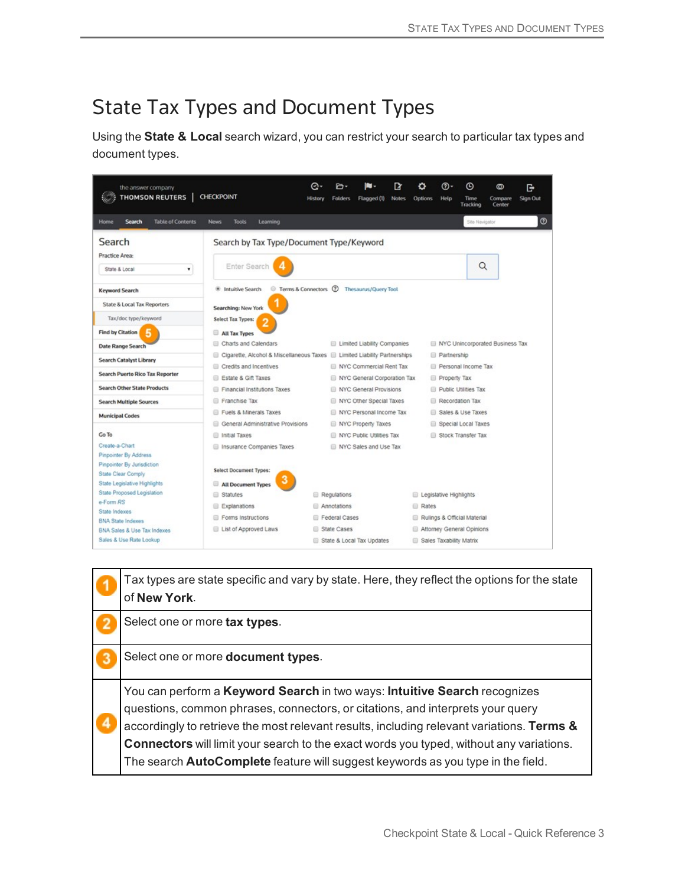## State Tax Types and Document Types

Using the **State & Local** search wizard, you can restrict your search to particular tax types and document types.

| the answer company<br><b>THOMSON REUTERS</b>                                     | <b>CHECKPOINT</b>                                                         | Θ۰<br><b>History</b> | P۰<br><b>Folders</b> | Flagged (1)                                           | ₽<br><b>Notes</b> | o<br><b>Options</b> | ത-<br>Help             | $^\copyright$<br>Time<br>Tracking | ത<br>Compare<br>Center          | e<br>Sign Out |
|----------------------------------------------------------------------------------|---------------------------------------------------------------------------|----------------------|----------------------|-------------------------------------------------------|-------------------|---------------------|------------------------|-----------------------------------|---------------------------------|---------------|
| <b>Table of Contents</b><br><b>Search</b><br>Home                                | <b>Tools</b><br>Learning<br><b>News</b>                                   |                      |                      |                                                       |                   |                     |                        | Site Navigator                    |                                 | $^{\circ}$    |
| Search<br>Practice Area:<br>State & Local<br>۰                                   | Search by Tax Type/Document Type/Keyword<br>Enter Search                  |                      |                      |                                                       |                   |                     |                        | Q                                 |                                 |               |
| <b>Keyword Search</b>                                                            | Terms & Connectors 2<br><b><i>S</i></b> Intuitive Search                  |                      |                      | Thesaurus/Query Tool                                  |                   |                     |                        |                                   |                                 |               |
| State & Local Tax Reporters                                                      | Searching: New York                                                       |                      |                      |                                                       |                   |                     |                        |                                   |                                 |               |
| Tax/doc type/keyword                                                             | Select Tax Types:                                                         |                      |                      |                                                       |                   |                     |                        |                                   |                                 |               |
| <b>Find by Citation</b><br>5                                                     | All Tax Types                                                             |                      |                      |                                                       |                   |                     |                        |                                   |                                 |               |
| Date Range Search                                                                | Charts and Calendars                                                      |                      |                      | Limited Liability Companies                           |                   |                     |                        |                                   | NYC Unincorporated Business Tax |               |
| <b>Search Catalyst Library</b>                                                   | Cigarette, Alcohol & Miscellaneous Taxes C Limited Liability Partnerships |                      |                      |                                                       |                   |                     | <b>Partnership</b>     |                                   |                                 |               |
| <b>Search Puerto Rico Tax Reporter</b>                                           | Credits and Incentives                                                    |                      |                      | NYC Commercial Rent Tax                               |                   |                     |                        | Personal Income Tax               |                                 |               |
| <b>Search Other State Products</b>                                               | Estate & Gift Taxes<br>Financial Institutions Taxes                       |                      |                      | NYC General Corporation Tax<br>NYC General Provisions |                   |                     | Property Tax           | Public Utilities Tax              |                                 |               |
| <b>Search Multiple Sources</b>                                                   | Franchise Tax                                                             |                      |                      | NYC Other Special Taxes                               |                   |                     |                        | Recordation Tax                   |                                 |               |
| <b>Municipal Codes</b>                                                           | Fuels & Minerals Taxes                                                    |                      |                      | NYC Personal Income Tax                               |                   |                     |                        | Sales & Use Taxes                 |                                 |               |
|                                                                                  | General Administrative Provisions<br>6                                    |                      |                      | <b>NYC Property Taxes</b>                             |                   |                     |                        | Special Local Taxes               |                                 |               |
| Go To                                                                            | Initial Taxes                                                             |                      |                      | NYC Public Utilities Tax                              |                   |                     |                        | Stock Transfer Tax                |                                 |               |
| Create-a-Chart<br>Pinpointer By Address                                          | Insurance Companies Taxes                                                 |                      |                      | NYC Sales and Use Tax                                 |                   |                     |                        |                                   |                                 |               |
| Pinpointer By Jurisdiction<br>State Clear Comply<br>State Legislative Highlights | Select Document Types:<br>All Document Types                              |                      |                      |                                                       |                   |                     |                        |                                   |                                 |               |
| State Proposed Legislation                                                       | Statutes                                                                  |                      | Regulations          |                                                       |                   |                     | Legislative Highlights |                                   |                                 |               |
| e-Form RS                                                                        | Explanations                                                              |                      | Annotations          |                                                       |                   | <b>Rates</b>        |                        |                                   |                                 |               |
| State Indexes<br><b>BNA State Indexes</b>                                        | Forms Instructions                                                        |                      | Federal Cases        |                                                       |                   |                     |                        | Rulings & Official Material       |                                 |               |
| BNA Sales & Use Tax Indexes                                                      | List of Approved Laws                                                     |                      | State Cases          |                                                       |                   |                     |                        | Attorney General Opinions         |                                 |               |
| Sales & Use Rate Lookup                                                          |                                                                           |                      |                      | State & Local Tax Updates                             |                   |                     |                        | Sales Taxability Matrix           |                                 |               |

Tax types are state specific and vary by state. Here, they reflect the options for the state of **New York**.

Select one or more **tax types**.

 $\overline{\mathbf{2}}$ 

4

Select one or more **document types**. 3

You can perform a **Keyword Search** in two ways: **Intuitive Search** recognizes questions, common phrases, connectors, or citations, and interprets your query accordingly to retrieve the most relevant results, including relevant variations. **Terms & Connectors** will limit your search to the exact words you typed, without any variations. The search **AutoComplete** feature will suggest keywords as you type in the field.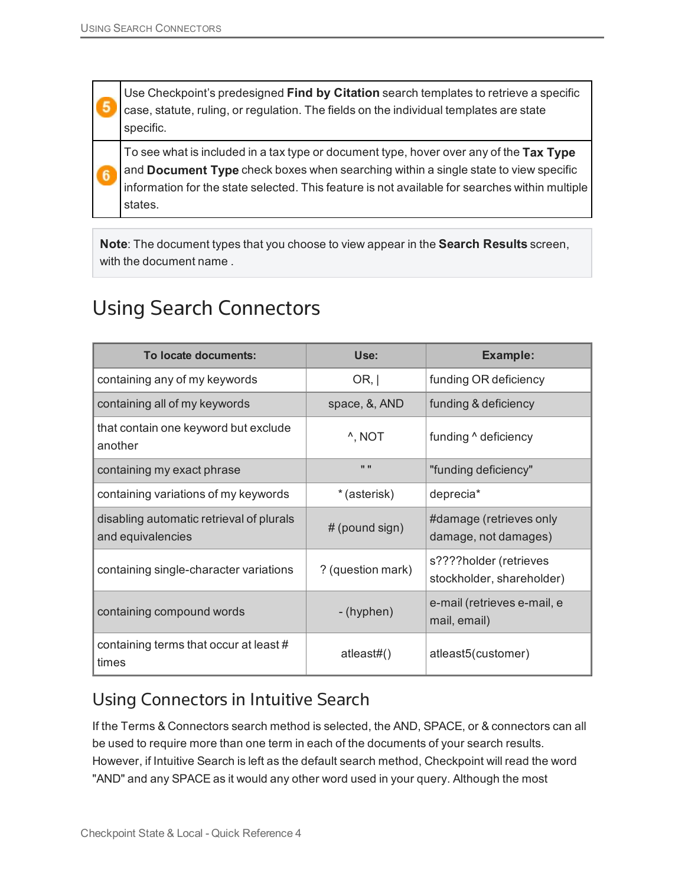5

 $6$ 

Use Checkpoint's predesigned **Find by Citation** search templates to retrieve a specific case, statute, ruling, or regulation. The fields on the individual templates are state specific.

To see what is included in a tax type or document type, hover over any of the **Tax Type** and **Document Type** check boxes when searching within a single state to view specific information for the state selected. This feature is not available for searches within multiple states.

**Note**: The document types that you choose to view appear in the **Search Results** screen, with the document name .

### Using Search Connectors

| To locate documents:                                          | Use:               | <b>Example:</b>                                     |
|---------------------------------------------------------------|--------------------|-----------------------------------------------------|
| containing any of my keywords                                 | OR,                | funding OR deficiency                               |
| containing all of my keywords                                 | space, &, AND      | funding & deficiency                                |
| that contain one keyword but exclude<br>another               | <sup>^</sup> , NOT | funding $\land$ deficiency                          |
| containing my exact phrase                                    | $\mathbf{H}$       | "funding deficiency"                                |
| containing variations of my keywords                          | * (asterisk)       | deprecia*                                           |
| disabling automatic retrieval of plurals<br>and equivalencies | # (pound sign)     | #damage (retrieves only<br>damage, not damages)     |
| containing single-character variations                        | ? (question mark)  | s????holder (retrieves<br>stockholder, shareholder) |
| containing compound words                                     | - (hyphen)         | e-mail (retrieves e-mail, e<br>mail, email)         |
| containing terms that occur at least #<br>times               | atleast#()         | atleast5(customer)                                  |

### Using Connectors in Intuitive Search

If the Terms & Connectors search method is selected, the AND, SPACE, or & connectors can all be used to require more than one term in each of the documents of your search results. However, if Intuitive Search is left as the default search method, Checkpoint will read the word "AND" and any SPACE as it would any other word used in your query. Although the most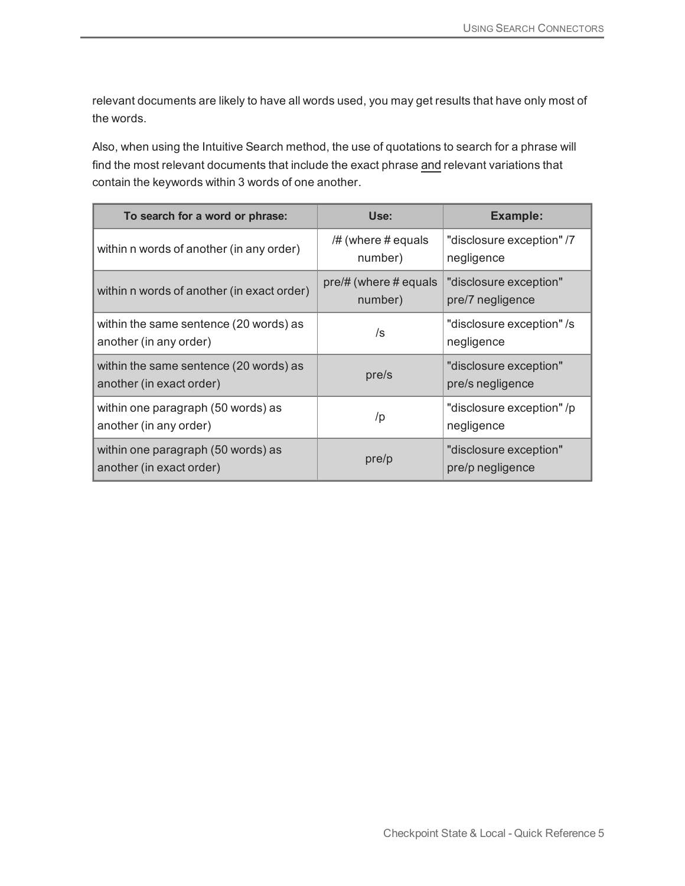relevant documents are likely to have all words used, you may get results that have only most of the words.

Also, when using the Intuitive Search method, the use of quotations to search for a phrase will find the most relevant documents that include the exact phrase and relevant variations that contain the keywords within 3 words of one another.

| To search for a word or phrase:                                    | Use:                                   | <b>Example:</b>                            |
|--------------------------------------------------------------------|----------------------------------------|--------------------------------------------|
| within n words of another (in any order)                           | /# (where # equals<br>number)          | "disclosure exception" /7<br>negligence    |
| within n words of another (in exact order)                         | $pre/\#$ (where $\#$ equals<br>number) | "disclosure exception"<br>pre/7 negligence |
| within the same sentence (20 words) as<br>another (in any order)   | /s                                     | "disclosure exception" /s<br>negligence    |
| within the same sentence (20 words) as<br>another (in exact order) | pre/s                                  | "disclosure exception"<br>pre/s negligence |
| within one paragraph (50 words) as<br>another (in any order)       | /p                                     | "disclosure exception" /p<br>negligence    |
| within one paragraph (50 words) as<br>another (in exact order)     | pre/p                                  | "disclosure exception"<br>pre/p negligence |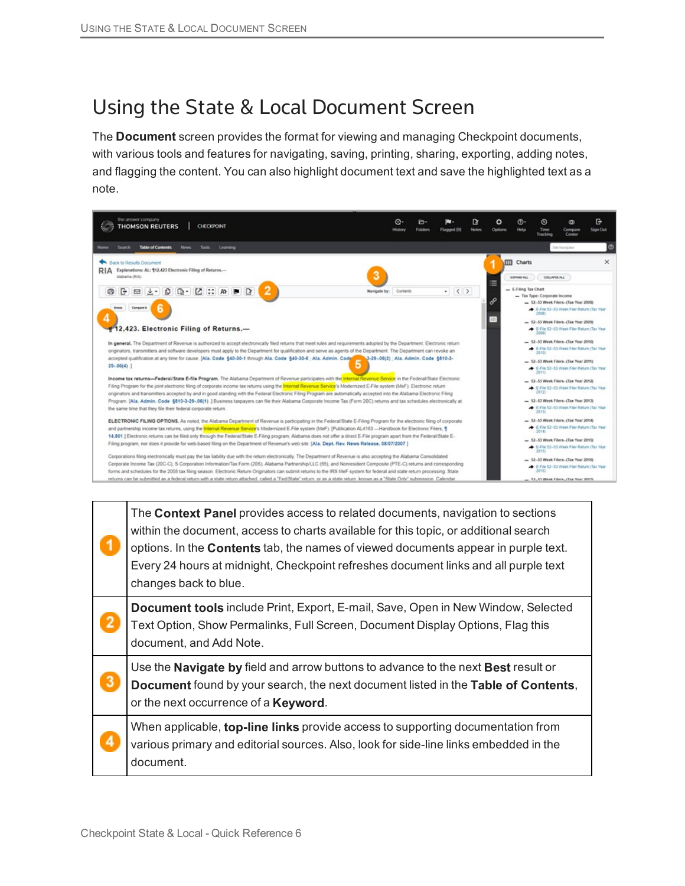### Using the State & Local Document Screen

The **Document** screen provides the format for viewing and managing Checkpoint documents, with various tools and features for navigating, saving, printing, sharing, exporting, adding notes, and flagging the content. You can also highlight document text and save the highlighted text as a note.



| The <b>Context Panel</b> provides access to related documents, navigation to sections<br>within the document, access to charts available for this topic, or additional search<br>options. In the <b>Contents</b> tab, the names of viewed documents appear in purple text.<br>Every 24 hours at midnight, Checkpoint refreshes document links and all purple text<br>changes back to blue. |
|--------------------------------------------------------------------------------------------------------------------------------------------------------------------------------------------------------------------------------------------------------------------------------------------------------------------------------------------------------------------------------------------|
| Document tools include Print, Export, E-mail, Save, Open in New Window, Selected<br>Text Option, Show Permalinks, Full Screen, Document Display Options, Flag this<br>document, and Add Note.                                                                                                                                                                                              |
| Use the Navigate by field and arrow buttons to advance to the next Best result or<br>Document found by your search, the next document listed in the Table of Contents,<br>or the next occurrence of a <b>Keyword</b> .                                                                                                                                                                     |
| When applicable, top-line links provide access to supporting documentation from<br>various primary and editorial sources. Also, look for side-line links embedded in the<br>document.                                                                                                                                                                                                      |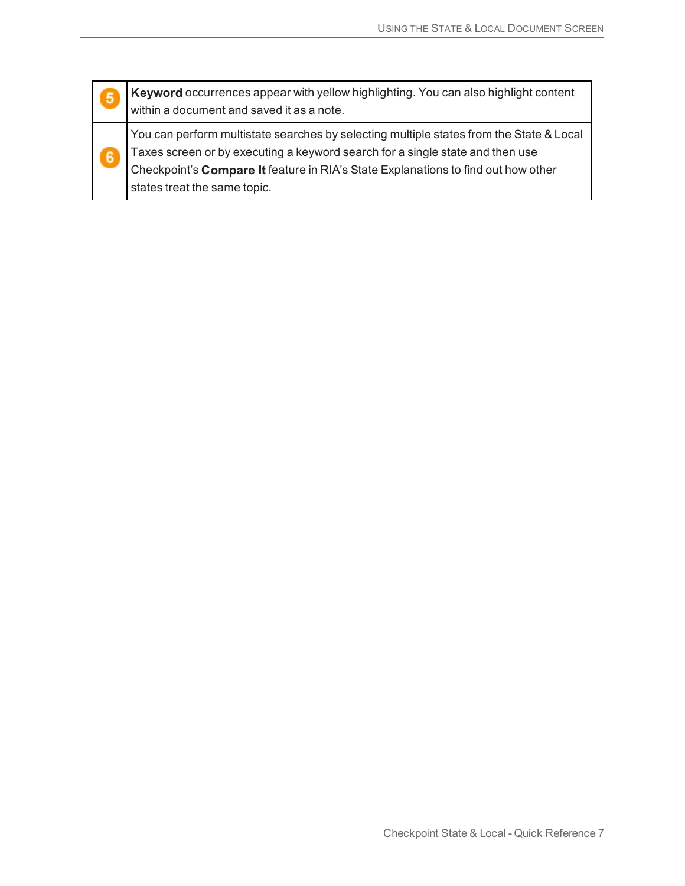| 5              | <b>Keyword</b> occurrences appear with yellow highlighting. You can also highlight content<br>within a document and saved it as a note.                                                                                                                                                       |
|----------------|-----------------------------------------------------------------------------------------------------------------------------------------------------------------------------------------------------------------------------------------------------------------------------------------------|
| $6\phantom{a}$ | You can perform multistate searches by selecting multiple states from the State & Local<br>Taxes screen or by executing a keyword search for a single state and then use<br>Checkpoint's Compare It feature in RIA's State Explanations to find out how other<br>states treat the same topic. |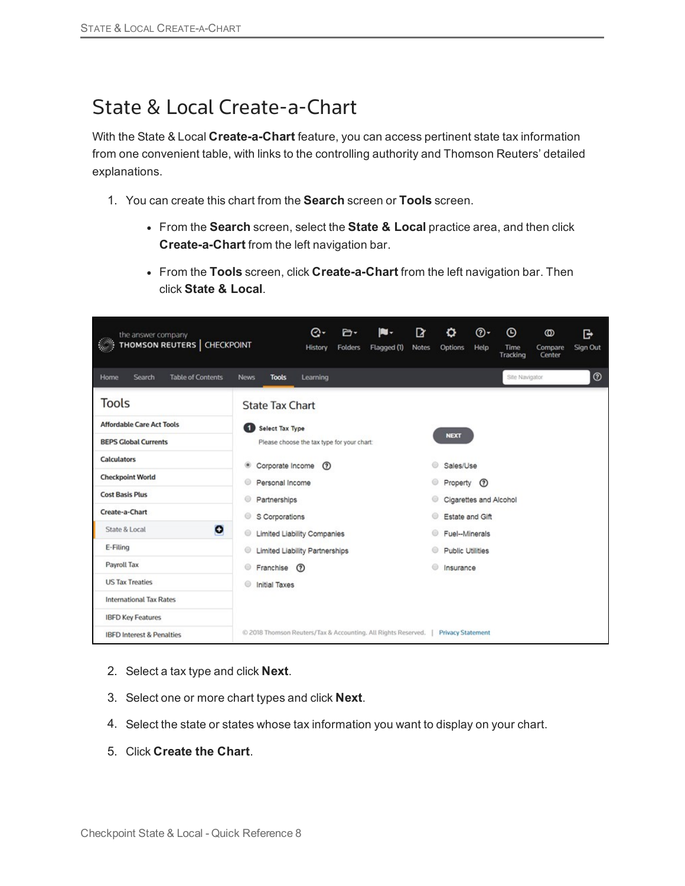### State & Local Create-a-Chart

With the State & Local **Create-a-Chart** feature, you can access pertinent state tax information from one convenient table, with links to the controlling authority and Thomson Reuters' detailed explanations.

- 1. You can create this chart from the **Search** screen or **Tools** screen.
	- **From the Search screen, select the State & Local practice area, and then click Create-a-Chart** from the left navigation bar.
	- **From the Tools** screen, click **Create-a-Chart** from the left navigation bar. Then click **State & Local**.

| the answer company<br>THOMSON REUTERS   CHECKPOINT | R<br>⊚-<br>$\odot$<br>Θ۰<br>IU -<br>o<br><b>D-</b><br>G<br>ത<br><b>Folders</b><br>Flagged (1)<br><b>Notes</b><br>Options<br>Help<br>Compare<br>Sign Out<br>History<br>Time<br>Center<br>Tracking |
|----------------------------------------------------|--------------------------------------------------------------------------------------------------------------------------------------------------------------------------------------------------|
| Search<br><b>Table of Contents</b><br>Home         | $^{\circ}$<br>Site Navigator<br>Learning<br><b>News</b><br><b>Tools</b>                                                                                                                          |
| <b>Tools</b>                                       | <b>State Tax Chart</b>                                                                                                                                                                           |
| <b>Affordable Care Act Tools</b>                   | Select Tax Type                                                                                                                                                                                  |
| <b>BEPS Global Currents</b>                        | <b>NEXT</b><br>Please choose the tax type for your chart:                                                                                                                                        |
| <b>Calculators</b>                                 | Corporate Income<br>Sales/Use<br>$\circledR$<br>۰                                                                                                                                                |
| <b>Checkpoint World</b>                            | 6<br>Personal Income<br>Property (?)                                                                                                                                                             |
| <b>Cost Basis Plus</b>                             | Cigarettes and Alcohol<br>Partnerships                                                                                                                                                           |
| Create-a-Chart                                     | ⊚<br>S Corporations<br>Estate and Gift                                                                                                                                                           |
| O<br>State & Local                                 | ◉<br><b>Limited Liability Companies</b><br>Fuel--Minerals                                                                                                                                        |
| E-Filing                                           | <b>Limited Liability Partnerships</b><br><b>Public Utilities</b><br>⊚                                                                                                                            |
| Payroll Tax                                        | 0<br>◉<br>Franchise (?)<br>Insurance                                                                                                                                                             |
| <b>US Tax Treaties</b>                             | ⊜<br><b>Initial Taxes</b>                                                                                                                                                                        |
| <b>International Tax Rates</b>                     |                                                                                                                                                                                                  |
| <b>IBFD Key Features</b>                           |                                                                                                                                                                                                  |
| <b>IBFD Interest &amp; Penalties</b>               | © 2018 Thomson Reuters/Tax & Accounting. All Rights Reserved.   Privacy Statement                                                                                                                |

- 2. Select a tax type and click **Next**.
- 3. Select one or more chart types and click **Next**.
- 4. Select the state or states whose tax information you want to display on your chart.
- 5. Click **Create the Chart**.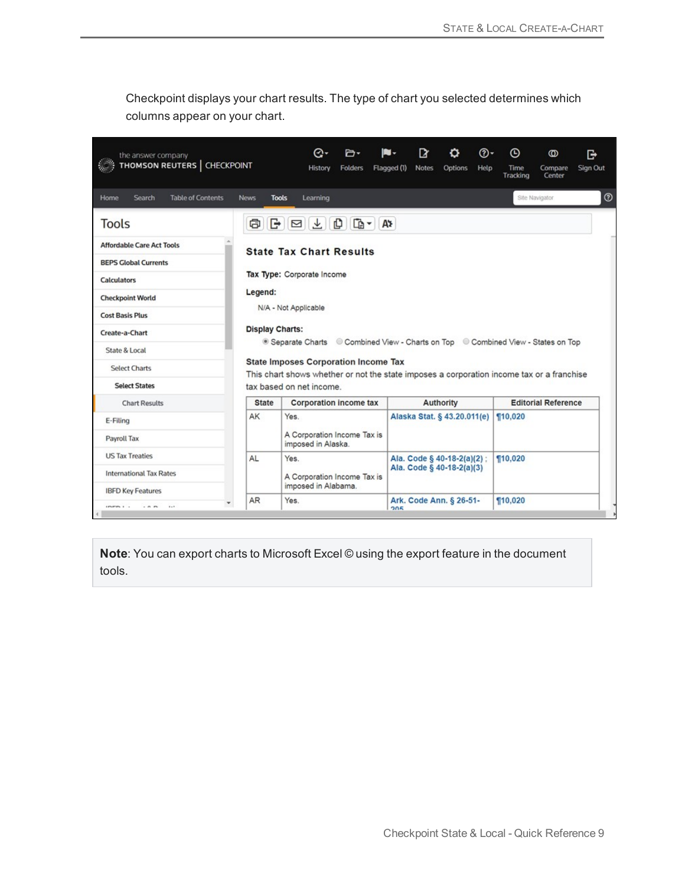Checkpoint displays your chart results. The type of chart you selected determines which columns appear on your chart.

| the answer company<br>THOMSON REUTERS   CHECKPOINT |                             | Θ۰<br>History                                                                                                                            | ⊶<br><b>Folders</b> | Flagged (1) | ™<br><b>Notes</b> | Options                     | ര-<br>Help | ⊕<br>Time<br>Tracking | ത<br>Compare<br>Center     | G<br>Sign Out |
|----------------------------------------------------|-----------------------------|------------------------------------------------------------------------------------------------------------------------------------------|---------------------|-------------|-------------------|-----------------------------|------------|-----------------------|----------------------------|---------------|
| <b>Table of Contents</b><br>Home<br>Search         | <b>News</b><br><b>Tools</b> | Learning                                                                                                                                 |                     |             |                   |                             |            |                       | Site Navigator             | $^{\circ}$    |
| Tools                                              | G)                          |                                                                                                                                          |                     |             |                   |                             |            |                       |                            |               |
| <b>Affordable Care Act Tools</b>                   |                             | <b>State Tax Chart Results</b>                                                                                                           |                     |             |                   |                             |            |                       |                            |               |
| <b>BEPS Global Currents</b>                        |                             |                                                                                                                                          |                     |             |                   |                             |            |                       |                            |               |
| <b>Calculators</b>                                 |                             | Tax Type: Corporate Income                                                                                                               |                     |             |                   |                             |            |                       |                            |               |
| <b>Checkpoint World</b>                            | Legend:                     |                                                                                                                                          |                     |             |                   |                             |            |                       |                            |               |
| <b>Cost Basis Plus</b>                             |                             | N/A - Not Applicable                                                                                                                     |                     |             |                   |                             |            |                       |                            |               |
| Create-a-Chart                                     | <b>Display Charts:</b>      |                                                                                                                                          |                     |             |                   |                             |            |                       |                            |               |
| State & Local                                      |                             | · Separate Charts Combined View - Charts on Top Combined View - States on Top                                                            |                     |             |                   |                             |            |                       |                            |               |
| <b>Select Charts</b>                               |                             | <b>State Imposes Corporation Income Tax</b><br>This chart shows whether or not the state imposes a corporation income tax or a franchise |                     |             |                   |                             |            |                       |                            |               |
| <b>Select States</b>                               |                             | tax based on net income.                                                                                                                 |                     |             |                   |                             |            |                       |                            |               |
| <b>Chart Results</b>                               | <b>State</b>                | <b>Corporation income tax</b>                                                                                                            |                     |             |                   | Authority                   |            |                       | <b>Editorial Reference</b> |               |
| E-Filing                                           | AK                          | Yes.                                                                                                                                     |                     |             |                   | Alaska Stat. § 43.20.011(e) |            | $\P 10,020$           |                            |               |
| Payroll Tax                                        |                             | A Corporation Income Tax is<br>imposed in Alaska.                                                                                        |                     |             |                   |                             |            |                       |                            |               |
| <b>US Tax Treaties</b>                             | AL                          | Yes.                                                                                                                                     |                     |             |                   | Ala. Code § 40-18-2(a)(2):  |            | <b>10,020</b>         |                            |               |
| <b>International Tax Rates</b>                     |                             | A Corporation Income Tax is                                                                                                              |                     |             |                   | Ala. Code § 40-18-2(a)(3)   |            |                       |                            |               |
| <b>IBFD Key Features</b>                           |                             | imposed in Alabama.                                                                                                                      |                     |             |                   |                             |            |                       |                            |               |
| constant a<br>$  -$<br>$1 - 1$                     | <b>AR</b>                   | Yes.                                                                                                                                     |                     | 205         |                   | Ark. Code Ann. § 26-51-     |            | <b>110,020</b>        |                            |               |

**Note**: You can export charts to Microsoft Excel © using the export feature in the document tools.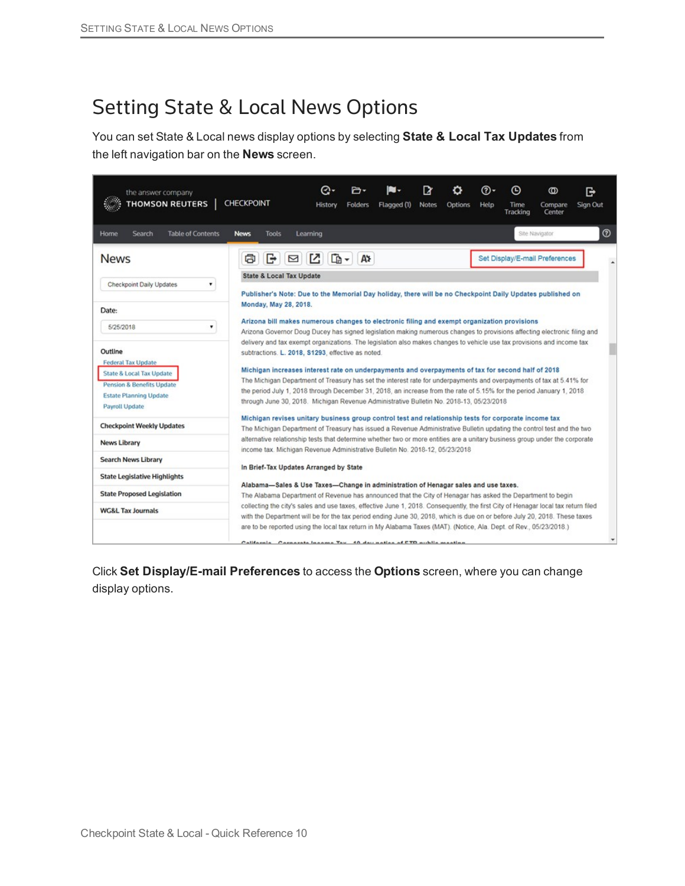### Setting State & Local News Options

You can set State & Local news display options by selecting **State & Local Tax Updates** from the left navigation bar on the **News** screen.

| the answer company<br><b>THOMSON REUTERS</b>                                                                                   | <b>CHECKPOINT</b>                                                                                                                                                                                                                                                                                                                                                                    | ᢙ.<br>m.<br><b>Folders</b><br>History | Flagged (1)    | ℞<br><b>Notes</b> | Options | ത-<br>Help | Θ<br>Time<br>Tracking | $^\circledR$<br>Compare<br>Center | G<br>Sign Out |
|--------------------------------------------------------------------------------------------------------------------------------|--------------------------------------------------------------------------------------------------------------------------------------------------------------------------------------------------------------------------------------------------------------------------------------------------------------------------------------------------------------------------------------|---------------------------------------|----------------|-------------------|---------|------------|-----------------------|-----------------------------------|---------------|
| <b>Table of Contents</b><br>Search<br>Home                                                                                     | <b>News</b><br><b>Tools</b>                                                                                                                                                                                                                                                                                                                                                          | Learning                              |                |                   |         |            |                       | Site Navigator                    | $^{\circ}$    |
| <b>News</b>                                                                                                                    | ā<br>G<br>⊠                                                                                                                                                                                                                                                                                                                                                                          | Ø<br>$\mathbb{R}$ -                   | A <sub>2</sub> |                   |         |            |                       | Set Display/E-mail Preferences    |               |
|                                                                                                                                | <b>State &amp; Local Tax Update</b>                                                                                                                                                                                                                                                                                                                                                  |                                       |                |                   |         |            |                       |                                   |               |
| Checkpoint Daily Updates<br>۳                                                                                                  | Publisher's Note: Due to the Memorial Day holiday, there will be no Checkpoint Daily Updates published on                                                                                                                                                                                                                                                                            |                                       |                |                   |         |            |                       |                                   |               |
|                                                                                                                                | Monday, May 28, 2018.                                                                                                                                                                                                                                                                                                                                                                |                                       |                |                   |         |            |                       |                                   |               |
| Date:                                                                                                                          | Arizona bill makes numerous changes to electronic filing and exempt organization provisions                                                                                                                                                                                                                                                                                          |                                       |                |                   |         |            |                       |                                   |               |
| 5/25/2018<br>۰                                                                                                                 | Arizona Governor Doug Ducey has signed legislation making numerous changes to provisions affecting electronic filing and                                                                                                                                                                                                                                                             |                                       |                |                   |         |            |                       |                                   |               |
| Outline<br><b>Federal Tax Update</b>                                                                                           | delivery and tax exempt organizations. The legislation also makes changes to vehicle use tax provisions and income tax<br>subtractions. L. 2018, S1293, effective as noted.<br>Michigan increases interest rate on underpayments and overpayments of tax for second half of 2018                                                                                                     |                                       |                |                   |         |            |                       |                                   |               |
| <b>State &amp; Local Tax Update</b><br><b>Pension &amp; Benefits Update</b><br><b>Estate Planning Update</b><br>Payroll Update | The Michigan Department of Treasury has set the interest rate for underpayments and overpayments of tax at 5.41% for<br>the period July 1, 2018 through December 31, 2018, an increase from the rate of 5.15% for the period January 1, 2018<br>through June 30, 2018. Michigan Revenue Administrative Bulletin No. 2018-13, 05/23/2018                                              |                                       |                |                   |         |            |                       |                                   |               |
| <b>Checkpoint Weekly Updates</b>                                                                                               | Michigan revises unitary business group control test and relationship tests for corporate income tax<br>The Michigan Department of Treasury has issued a Revenue Administrative Bulletin updating the control test and the two                                                                                                                                                       |                                       |                |                   |         |            |                       |                                   |               |
| <b>News Library</b>                                                                                                            | alternative relationship tests that determine whether two or more entities are a unitary business group under the corporate                                                                                                                                                                                                                                                          |                                       |                |                   |         |            |                       |                                   |               |
| <b>Search News Library</b>                                                                                                     | income tax. Michigan Revenue Administrative Bulletin No. 2018-12, 05/23/2018                                                                                                                                                                                                                                                                                                         |                                       |                |                   |         |            |                       |                                   |               |
| <b>State Legislative Highlights</b>                                                                                            | In Brief-Tax Updates Arranged by State                                                                                                                                                                                                                                                                                                                                               |                                       |                |                   |         |            |                       |                                   |               |
| <b>State Proposed Legislation</b>                                                                                              | Alabama-Sales & Use Taxes-Change in administration of Henagar sales and use taxes.<br>The Alabama Department of Revenue has announced that the City of Henagar has asked the Department to begin                                                                                                                                                                                     |                                       |                |                   |         |            |                       |                                   |               |
| <b>WG&amp;L Tax Journals</b>                                                                                                   | collecting the city's sales and use taxes, effective June 1, 2018. Consequently, the first City of Henagar local tax return filed<br>with the Department will be for the tax period ending June 30, 2018, which is due on or before July 20, 2018. These taxes<br>are to be reported using the local tax return in My Alabama Taxes (MAT). (Notice, Ala. Dept. of Rev., 05/23/2018.) |                                       |                |                   |         |            |                       |                                   |               |
|                                                                                                                                | California. Cornorate Income Tay, 10 dev notice of ETD public meeting                                                                                                                                                                                                                                                                                                                |                                       |                |                   |         |            |                       |                                   |               |

Click **Set Display/E-mail Preferences** to access the **Options** screen, where you can change display options.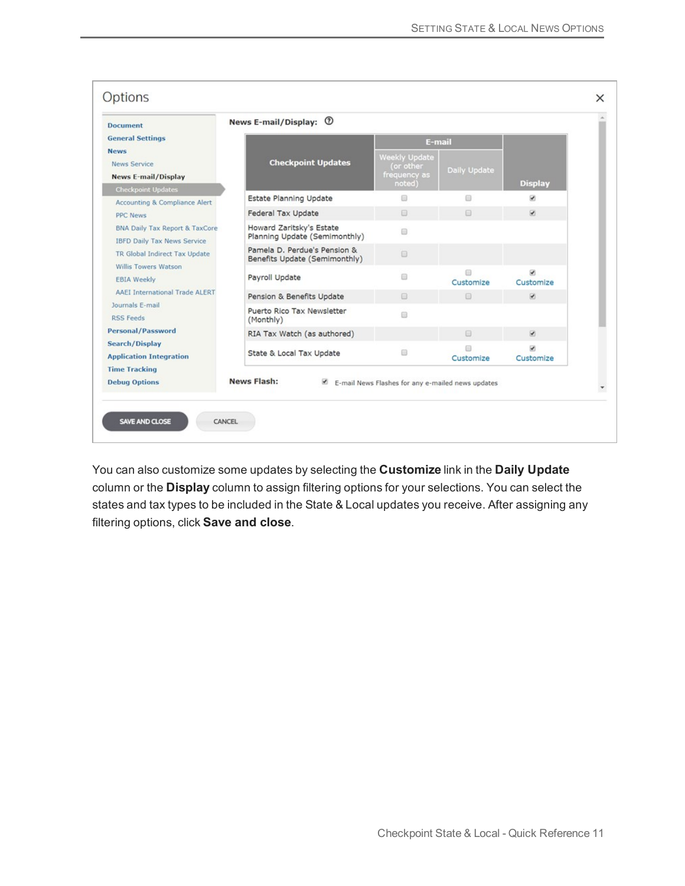| <b>Document</b>                                                                 | News E-mail/Display: 1                                        |                                                   |                     |                                       |  |  |  |  |  |  |
|---------------------------------------------------------------------------------|---------------------------------------------------------------|---------------------------------------------------|---------------------|---------------------------------------|--|--|--|--|--|--|
| <b>General Settings</b><br><b>News</b>                                          |                                                               | E-mail                                            |                     |                                       |  |  |  |  |  |  |
| <b>News Service</b><br><b>News E-mail/Display</b>                               | <b>Checkpoint Updates</b>                                     | <b>Weekly Update</b><br>or other)<br>frequency as | <b>Daily Update</b> |                                       |  |  |  |  |  |  |
| <b>Checkpoint Updates</b>                                                       |                                                               | noted)                                            |                     | <b>Display</b>                        |  |  |  |  |  |  |
| <b>Accounting &amp; Compliance Alert</b>                                        | Estate Planning Update                                        | ▣                                                 | 0                   | $\overline{\phantom{a}}$              |  |  |  |  |  |  |
| <b>PPC News</b>                                                                 | Federal Tax Update                                            | $\Box$                                            | 日                   | $\overline{\mathbf{v}}$               |  |  |  |  |  |  |
| <b>BNA Daily Tax Report &amp; TaxCore</b><br><b>IBFD Daily Tax News Service</b> | Howard Zaritsky's Estate<br>Planning Update (Semimonthly)     | ₿                                                 |                     |                                       |  |  |  |  |  |  |
| TR Global Indirect Tax Update                                                   | Pamela D. Perdue's Pension &<br>Benefits Update (Semimonthly) | $\Box$                                            |                     |                                       |  |  |  |  |  |  |
| Willis Towers Watson<br><b>EBIA Weekly</b>                                      | Payroll Update                                                | ⊟                                                 | 日<br>Customize      | $\overline{\mathcal{L}}$<br>Customize |  |  |  |  |  |  |
| <b>AAEI International Trade ALERT</b>                                           | Pension & Benefits Update                                     | ⊟                                                 | $\Box$              | $\overline{\mathcal{L}}$              |  |  |  |  |  |  |
| Journals E-mail<br><b>RSS Feeds</b>                                             | Puerto Rico Tax Newsletter<br>(Monthly)                       | ⊟                                                 |                     |                                       |  |  |  |  |  |  |
| <b>Personal/Password</b>                                                        | RIA Tax Watch (as authored)                                   |                                                   | 回                   | $\overline{\mathbf{y}}$               |  |  |  |  |  |  |
| <b>Search/Display</b><br><b>Application Integration</b>                         | State & Local Tax Update                                      | 8                                                 | Customize           | $\overline{\mathcal{L}}$<br>Customize |  |  |  |  |  |  |
| <b>Time Tracking</b>                                                            |                                                               |                                                   |                     |                                       |  |  |  |  |  |  |
| <b>Debug Options</b>                                                            | <b>News Flash:</b><br>$\sim$                                  | E-mail News Flashes for any e-mailed news updates |                     |                                       |  |  |  |  |  |  |

You can also customize some updates by selecting the **Customize** link in the **Daily Update** column or the **Display** column to assign filtering options for your selections. You can select the states and tax types to be included in the State & Local updates you receive. After assigning any filtering options, click **Save and close**.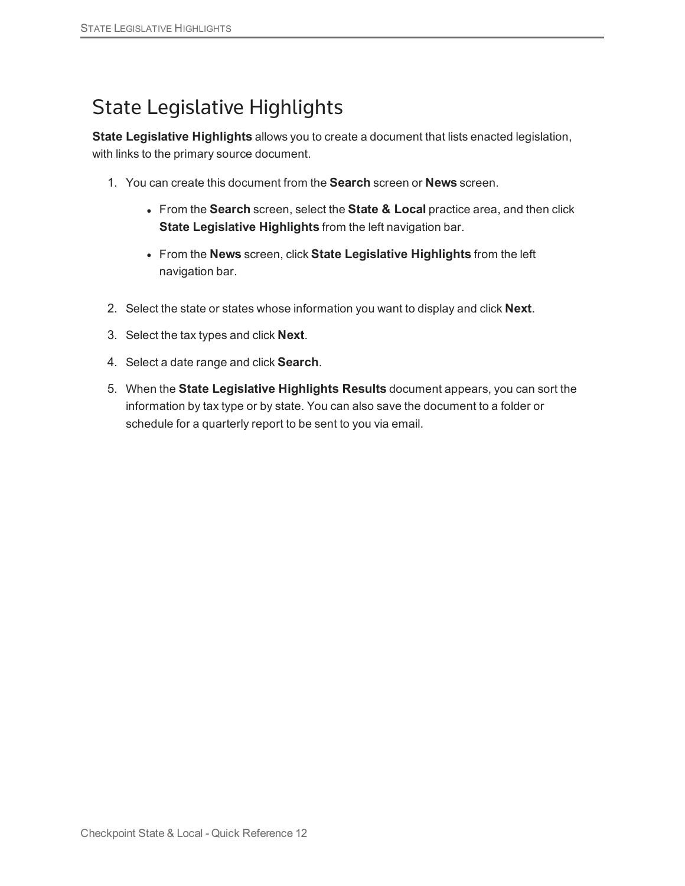## State Legislative Highlights

**State Legislative Highlights** allows you to create a document that lists enacted legislation, with links to the primary source document.

- 1. You can create this document from the **Search** screen or **News** screen.
	- <sup>l</sup> From the **Search** screen, select the **State & Local** practice area, and then click **State Legislative Highlights** from the left navigation bar.
	- <sup>l</sup> From the **News** screen, click **State Legislative Highlights** from the left navigation bar.
- 2. Select the state or states whose information you want to display and click **Next**.
- 3. Select the tax types and click **Next**.
- 4. Select a date range and click **Search**.
- 5. When the **State Legislative Highlights Results** document appears, you can sort the information by tax type or by state. You can also save the document to a folder or schedule for a quarterly report to be sent to you via email.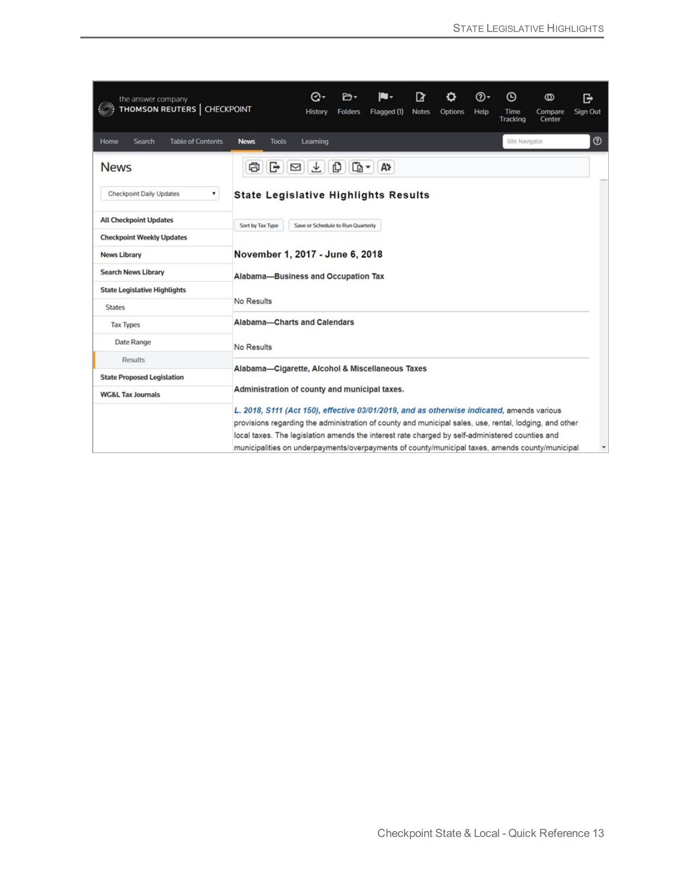| the answer company<br>THOMSON REUTERS   CHECKPOINT |                  |                                                                                                                                                                                                    | Θ۰<br>History<br><b>Folders</b>   |              | Flagged (1) | 12<br><b>Notes</b> | Options | ത-<br>Help | Θ<br>Time<br>Tracking | ത<br>Compare<br>Center | G<br>Sign Out |
|----------------------------------------------------|------------------|----------------------------------------------------------------------------------------------------------------------------------------------------------------------------------------------------|-----------------------------------|--------------|-------------|--------------------|---------|------------|-----------------------|------------------------|---------------|
| <b>Table of Contents</b><br>Search<br>Home         | <b>News</b>      | <b>Tools</b>                                                                                                                                                                                       | Learning                          |              |             |                    |         |            | Site Navigator        |                        | $^{\circ}$    |
| <b>News</b>                                        | €                | G<br>$\triangleright$                                                                                                                                                                              | ¢<br>玉                            | $\mathbb{D}$ | A⊁          |                    |         |            |                       |                        |               |
| ۰<br>Checkpoint Daily Updates                      |                  | <b>State Legislative Highlights Results</b>                                                                                                                                                        |                                   |              |             |                    |         |            |                       |                        |               |
| <b>All Checkpoint Updates</b>                      | Sort by Tax Type |                                                                                                                                                                                                    | Save or Schedule to Run Quarterly |              |             |                    |         |            |                       |                        |               |
| <b>Checkpoint Weekly Updates</b>                   |                  |                                                                                                                                                                                                    |                                   |              |             |                    |         |            |                       |                        |               |
| News Library                                       |                  | November 1, 2017 - June 6, 2018                                                                                                                                                                    |                                   |              |             |                    |         |            |                       |                        |               |
| <b>Search News Library</b>                         |                  | Alabama-Business and Occupation Tax                                                                                                                                                                |                                   |              |             |                    |         |            |                       |                        |               |
| <b>State Legislative Highlights</b>                |                  |                                                                                                                                                                                                    |                                   |              |             |                    |         |            |                       |                        |               |
| <b>States</b>                                      | No Results       |                                                                                                                                                                                                    |                                   |              |             |                    |         |            |                       |                        |               |
| <b>Tax Types</b>                                   |                  | Alabama-Charts and Calendars                                                                                                                                                                       |                                   |              |             |                    |         |            |                       |                        |               |
| Date Range                                         | No Results       |                                                                                                                                                                                                    |                                   |              |             |                    |         |            |                       |                        |               |
| <b>Results</b>                                     |                  |                                                                                                                                                                                                    |                                   |              |             |                    |         |            |                       |                        |               |
| <b>State Proposed Legislation</b>                  |                  | Alabama-Cigarette, Alcohol & Miscellaneous Taxes                                                                                                                                                   |                                   |              |             |                    |         |            |                       |                        |               |
| <b>WG&amp;L Tax Journals</b>                       |                  | Administration of county and municipal taxes.                                                                                                                                                      |                                   |              |             |                    |         |            |                       |                        |               |
|                                                    |                  | L. 2018, S111 (Act 150), effective 03/01/2019, and as otherwise indicated, amends various                                                                                                          |                                   |              |             |                    |         |            |                       |                        |               |
|                                                    |                  | provisions regarding the administration of county and municipal sales, use, rental, lodging, and other                                                                                             |                                   |              |             |                    |         |            |                       |                        |               |
|                                                    |                  | local taxes. The legislation amends the interest rate charged by self-administered counties and<br>municipalities on underpayments/overpayments of county/municipal taxes, amends county/municipal |                                   |              |             |                    |         |            |                       |                        |               |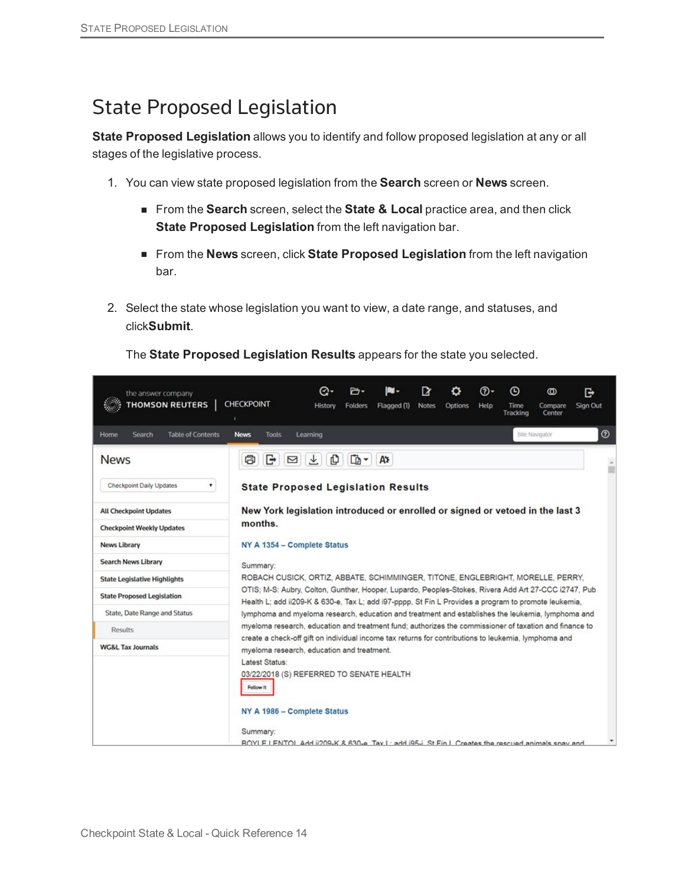### State Proposed Legislation

**State Proposed Legislation** allows you to identify and follow proposed legislation at any or all stages of the legislative process.

- 1. You can view state proposed legislation from the **Search** screen or **News** screen.
	- From the **Search** screen, select the **State & Local** practice area, and then click **State Proposed Legislation** from the left navigation bar.
	- n From the **News** screen, click **State Proposed Legislation** from the left navigation bar.
- 2. Select the state whose legislation you want to view, a date range, and statuses, and click**Submit**.

The **State Proposed Legislation Results** appears for the state you selected.

| the answer company<br><b>THOMSON REUTERS</b> | CHECKPOINT                                                                                                                                                                                                                                                                                                                                                                                                                                                                                                                                                                                                                                            | Θ۰<br>History | n∙<br><b>Folders</b> | Flagged (1) | <b>Notes</b> | Options | ത-<br>Help | Θ<br>Time<br>Tracking | $^\circledR$<br>Compare<br>Center | G<br>Sign Out |
|----------------------------------------------|-------------------------------------------------------------------------------------------------------------------------------------------------------------------------------------------------------------------------------------------------------------------------------------------------------------------------------------------------------------------------------------------------------------------------------------------------------------------------------------------------------------------------------------------------------------------------------------------------------------------------------------------------------|---------------|----------------------|-------------|--------------|---------|------------|-----------------------|-----------------------------------|---------------|
| <b>Table of Contents</b><br>Search<br>Home   | <b>Tools</b><br><b>News</b>                                                                                                                                                                                                                                                                                                                                                                                                                                                                                                                                                                                                                           | Learning      |                      |             |              |         |            |                       | Site Navigator                    | $^{\circ}$    |
| <b>News</b>                                  | G<br>ā                                                                                                                                                                                                                                                                                                                                                                                                                                                                                                                                                                                                                                                | O<br>玉<br>⊠   | $\mathbb{D}$ -       | А¥          |              |         |            |                       |                                   | Ê             |
| ۰<br>Checkpoint Daily Updates                | <b>State Proposed Legislation Results</b>                                                                                                                                                                                                                                                                                                                                                                                                                                                                                                                                                                                                             |               |                      |             |              |         |            |                       |                                   |               |
| <b>All Checkpoint Updates</b>                | New York legislation introduced or enrolled or signed or vetoed in the last 3<br>months.<br>NY A 1354 - Complete Status<br>Summary:<br>ROBACH CUSICK, ORTIZ, ABBATE, SCHIMMINGER, TITONE, ENGLEBRIGHT, MORELLE, PERRY,<br>OTIS; M-S: Aubry, Colton, Gunther, Hooper, Lupardo, Peoples-Stokes, Rivera Add Art 27-CCC i2747, Pub<br>Health L; add ii209-K & 630-e, Tax L; add i97-pppp, St Fin L Provides a program to promote leukemia,<br>lymphoma and myeloma research, education and treatment and establishes the leukemia, lymphoma and<br>myeloma research, education and treatment fund; authorizes the commissioner of taxation and finance to |               |                      |             |              |         |            |                       |                                   |               |
| <b>Checkpoint Weekly Updates</b>             |                                                                                                                                                                                                                                                                                                                                                                                                                                                                                                                                                                                                                                                       |               |                      |             |              |         |            |                       |                                   |               |
| <b>News Library</b>                          |                                                                                                                                                                                                                                                                                                                                                                                                                                                                                                                                                                                                                                                       |               |                      |             |              |         |            |                       |                                   |               |
| <b>Search News Library</b>                   |                                                                                                                                                                                                                                                                                                                                                                                                                                                                                                                                                                                                                                                       |               |                      |             |              |         |            |                       |                                   |               |
| <b>State Legislative Highlights</b>          |                                                                                                                                                                                                                                                                                                                                                                                                                                                                                                                                                                                                                                                       |               |                      |             |              |         |            |                       |                                   |               |
| <b>State Proposed Legislation</b>            |                                                                                                                                                                                                                                                                                                                                                                                                                                                                                                                                                                                                                                                       |               |                      |             |              |         |            |                       |                                   |               |
| State, Date Range and Status                 |                                                                                                                                                                                                                                                                                                                                                                                                                                                                                                                                                                                                                                                       |               |                      |             |              |         |            |                       |                                   |               |
| <b>Results</b>                               |                                                                                                                                                                                                                                                                                                                                                                                                                                                                                                                                                                                                                                                       |               |                      |             |              |         |            |                       |                                   |               |
| <b>WG&amp;L Tax Journals</b>                 | create a check-off gift on individual income tax returns for contributions to leukemia, lymphoma and<br>myeloma research, education and treatment.                                                                                                                                                                                                                                                                                                                                                                                                                                                                                                    |               |                      |             |              |         |            |                       |                                   |               |
|                                              | Latest Status:<br>03/22/2018 (S) REFERRED TO SENATE HEALTH<br>Follow It<br>NY A 1986 - Complete Status                                                                                                                                                                                                                                                                                                                                                                                                                                                                                                                                                |               |                      |             |              |         |            |                       |                                   |               |
|                                              |                                                                                                                                                                                                                                                                                                                                                                                                                                                                                                                                                                                                                                                       |               |                      |             |              |         |            |                       |                                   |               |
|                                              | Summary:<br>BOYLE LENTOL Add ii209-K & 630-e. Tax L: add i95-i. St Ein L Creates the rescued animals spay and                                                                                                                                                                                                                                                                                                                                                                                                                                                                                                                                         |               |                      |             |              |         |            |                       |                                   |               |